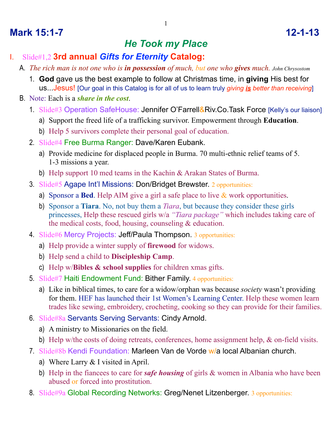## **Mark 15:1-7 12-1-13**

# *He Took my Place*

### I. Slide#1,2 **3rd annual** *Gifts for Eternity* **Catalog:**

- A. *The rich man is not one who is in possession of much, but one who gives much. John Chrysostom*
	- 1. **God** gave us the best example to follow at Christmas time, in **giving** His best for us...Jesus! [Our goal in this Catalog is for all of us to learn truly *giving is better than receiving*]
- B. Note: Each is a *share in the cost*.
	- 1. Slide#3 Operation SafeHouse: Jennifer O'Farrell&Riv.Co.Task Force [Kelly's our liaison]
		- a) Support the freed life of a trafficking survivor. Empowerment through **Education**.
		- b) Help 5 survivors complete their personal goal of education.
	- 2. Slide#4 Free Burma Ranger: Dave/Karen Eubank.
		- a) Provide medicine for displaced people in Burma. 70 multi-ethnic relief teams of 5. 1-3 missions a year.
		- b) Help support 10 med teams in the Kachin & Arakan States of Burma.
	- 3. Slide#5 Agape Int'l Missions: Don/Bridget Brewster. 2 opportunities:
		- a) Sponsor a **Bed**. Help AIM give a girl a safe place to live & work opportunities.
		- b) Sponsor a **Tiara**. No, not buy them a *Tiara*, but because they consider these girls princesses, Help these rescued girls w/a *"Tiara package"* which includes taking care of the medical costs, food, housing, counseling & education.
	- 4. Slide#6 Mercy Projects: Jeff/Paula Thompson. 3 opportunities:
		- a) Help provide a winter supply of **firewood** for widows.
		- b) Help send a child to **Discipleship Camp**.
		- c) Help w/**Bibles & school supplies** for children xmas gifts.
	- 5. Slide#7 Haiti Endowment Fund: Bither Family. 4 opportunities:
		- a) Like in biblical times, to care for a widow/orphan was because *society* wasn't providing for them. HEF has launched their 1st Women's Learning Center. Help these women learn trades like sewing, embroidery, crocheting, cooking so they can provide for their families.
	- 6. Slide#8a Servants Serving Servants: Cindy Arnold.
		- a) A ministry to Missionaries on the field.
		- b) Help w/the costs of doing retreats, conferences, home assignment help, & on-field visits.
	- 7. Slide#8b Kendi Foundation: Marleen Van de Vorde w/a local Albanian church.
		- a) Where Larry & I visited in April.
		- b) Help in the fiancees to care for *safe housing* of girls & women in Albania who have been abused or forced into prostitution.
	- 8. Slide#9a Global Recording Networks: Greg/Nenet Litzenberger. 3 opportunities: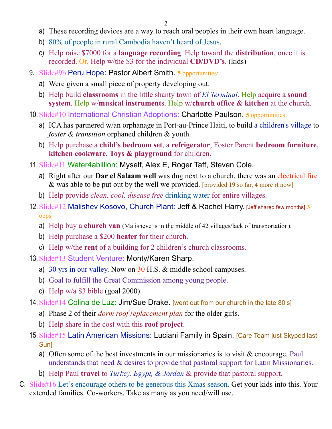- a) These recording devices are a way to reach oral peoples in their own heart language.
- b) 80% of people in rural Cambodia haven't heard of Jesus.
- c) Help raise \$7000 for a **language recording**. Help toward the **distribution**, once it is recorded. Or, Help w/the \$3 for the individual **CD/DVD's**. (kids)
- 9. Slide#9b Peru Hope: Pastor Albert Smith. **5** opportunities:
	- a) Were given a small piece of property developing out.
	- b) Help build **classrooms** in the little shanty town of *El Terminal*. Help acquire a **sound system**. Help w/**musical instruments**. Help w/**church office & kitchen** at the church.
- 10. Slide#10 International Christian Adoptions: Charlotte Paulson. **5** opportunities:
	- a) ICA has partnered w/an orphanage in Port-au-Prince Haiti, to build a children's village to *foster & transition* orphaned children & youth.
	- b) Help purchase a **child's bedroom set**, a **refrigerator**, Foster Parent **bedroom furniture**, **kitchen cookware**, **Toys & playground** for children.
- 11. Slide#11 Water4abillion: Myself, Alex E, Roger Taff, Steven Cole.
	- a) Right after our **Dar el Salaam well** was dug next to a church, there was an electrical fire & was able to be put out by the well we provided. [provided **19** so far, **4** more rt now]
	- b) Help provide *clean, cool, disease free* drinking water for entire villages.
- 12. Slide#12 Malishev Kosovo, Church Plant: Jeff & Rachel Harry. [Jeff shared few months] **3**  opps
	- a) Help buy a **church van** (Malisheve is in the middle of 42 villages/lack of transportation).
	- b) Help purchase a \$200 **heater** for their church.
	- c) Help w/the **rent** of a building for 2 children's church classrooms.
- 13. Slide#13 Student Venture: Monty/Karen Sharp.
	- a) 30 yrs in our valley. Now on 30 H.S. & middle school campuses.
	- b) Goal to fulfill the Great Commission among young people.
	- c) Help w/a  $$3$  bible (goal 2000).
- 14. Slide#14 Colina de Luz: Jim/Sue Drake. [went out from our church in the late 80's]
	- a) Phase 2 of their *dorm roof replacement plan* for the older girls.
	- b) Help share in the cost with this **roof project**.
- 15. Slide#15 Latin American Missions: Luciani Family in Spain. [Care Team just Skyped last Sun]
	- a) Often some of the best investments in our missionaries is to visit & encourage. Paul understands that need & desires to provide that pastoral support for Latin Missionaries.
	- b) Help Paul **travel** to *Turkey, Egypt, & Jordan* & provide that pastoral support.
- C. Slide#16 Let's encourage others to be generous this Xmas season. Get your kids into this. Your extended families. Co-workers. Take as many as you need/will use.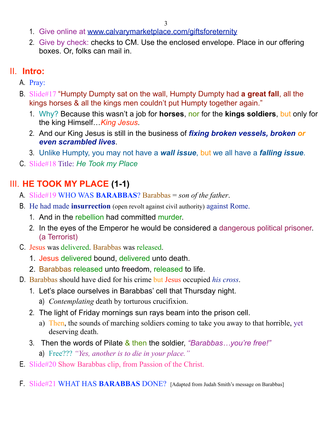- 1. Give online at [www.calvarymarketplace.com/giftsforeternity](http://www.calvarymarketplace.com/giftsforeternity)
- 2. Give by check: checks to CM. Use the enclosed envelope. Place in our offering boxes. Or, folks can mail in.

### II. **Intro:**

- A. Pray:
- B. Slide#17 "Humpty Dumpty sat on the wall, Humpty Dumpty had **a great fall**, all the kings horses & all the kings men couldn't put Humpty together again."
	- 1. Why? Because this wasn't a job for **horses**, nor for the **kings soldiers**, but only for the king Himself…*King Jesus*.
	- 2. And our King Jesus is still in the business of *fixing broken vessels, broken or even scrambled lives*.
	- 3. Unlike Humpty, you may not have a *wall issue*, but we all have a *falling issue*.
- C. Slide#18 Title: *He Took my Place*

# III. **HE TOOK MY PLACE (1-1)**

- A. Slide#19 WHO WAS **BARABBAS**? Barabbas = *son of the father*.
- B. He had made **insurrection** (open revolt against civil authority) against Rome.
	- 1. And in the rebellion had committed murder.
	- 2. In the eyes of the Emperor he would be considered a dangerous political prisoner. (a Terrorist)
- C. Jesus was delivered. Barabbas was released.
	- 1. Jesus delivered bound, delivered unto death.
	- 2. Barabbas released unto freedom, released to life.
- D. Barabbas should have died for his crime but Jesus occupied *his cross*.
	- 1. Let's place ourselves in Barabbas' cell that Thursday night.
		- a) *Contemplating* death by torturous crucifixion.
	- 2. The light of Friday mornings sun rays beam into the prison cell.
		- a) Then, the sounds of marching soldiers coming to take you away to that horrible, yet deserving death.
	- 3. Then the words of Pilate & then the soldier, *"Barabbas…you're free!"*
		- a) Free??? *"Yes, another is to die in your place."*
- E. Slide#20 Show Barabbas clip, from Passion of the Christ.
- F. Slide#21 WHAT HAS **BARABBAS** DONE? [Adapted from Judah Smith's message on Barabbas]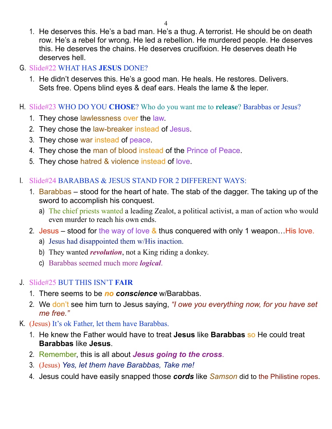- 1. He deserves this. He's a bad man. He's a thug. A terrorist. He should be on death row. He's a rebel for wrong. He led a rebellion. He murdered people. He deserves this. He deserves the chains. He deserves crucifixion. He deserves death He deserves hell.
- G. Slide#22 WHAT HAS **JESUS** DONE?
	- 1. He didn't deserves this. He's a good man. He heals. He restores. Delivers. Sets free. Opens blind eyes & deaf ears. Heals the lame & the leper.
- H. Slide#23 WHO DO YOU **CHOSE**? Who do you want me to **release**? Barabbas or Jesus?
	- 1. They chose lawlessness over the law.
	- 2. They chose the law-breaker instead of Jesus.
	- 3. They chose war instead of peace.
	- 4. They chose the man of blood instead of the Prince of Peace.
	- 5. They chose hatred & violence instead of love.
- I. Slide#24 BARABBAS & JESUS STAND FOR 2 DIFFERENT WAYS:
	- 1. Barabbas stood for the heart of hate. The stab of the dagger. The taking up of the sword to accomplish his conquest.
		- a) The chief priests wanted a leading Zealot, a political activist, a man of action who would even murder to reach his own ends.
	- 2. Jesus stood for the way of love  $\&$  thus conquered with only 1 weapon... His love.
		- a) Jesus had disappointed them w/His inaction.
		- b) They wanted *revolution*, not a King riding a donkey.
		- c) Barabbas seemed much more *logical*.

#### J. Slide#25 BUT THIS ISN'T **FAIR**

- 1. There seems to be *no conscience* w/Barabbas.
- 2. We don't see him turn to Jesus saying, *"I owe you everything now, for you have set me free."*
- K. (Jesus) It's ok Father, let them have Barabbas.
	- 1. He knew the Father would have to treat **Jesus** like **Barabbas** so He could treat **Barabbas** like **Jesus**.
	- 2. Remember, this is all about *Jesus going to the cross*.
	- 3. (Jesus) *Yes, let them have Barabbas, Take me!*
	- 4. Jesus could have easily snapped those *cords* like *Samson* did to the Philistine ropes.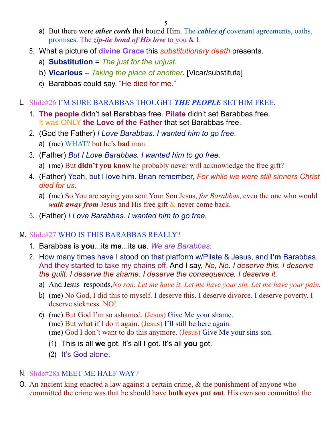- a) But there were *other cords* that bound Him. The *cables of* covenant agreements, oaths, promises. The *zip-tie bond of His love* to you & I.
- 5. What a picture of **divine Grace** this *substitutionary death* presents.
	- a) **Substitution** = *The just for the unjust*.
	- b) **Vicarious**  *Taking the place of another*. [Vicar/substitute]
	- c) Barabbas could say, "He died for me."

#### L. Slide#26 I'M SURE BARABBAS THOUGHT *THE PEOPLE* SET HIM FREE.

- 1. **The people** didn't set Barabbas free. **Pilate** didn't set Barabbas free. It was ONLY **the Love of the Father** that set Barabbas free.
- 2. (God the Father) *I Love Barabbas. I wanted him to go free*. a) (me) WHAT? but he's **bad** man.
- 3. (Father) *But I Love Barabbas. I wanted him to go free*.
	- a) (me) But **didn't you know** he probably never will acknowledge the free gift?
- 4. (Father) Yeah, but I love him. Brian remember, *For while we were still sinners Christ died for us*.
	- a) (me) So You are saying you sent Your Son Jesus, *for Barabbas*, even the one who would *walk away from* Jesus and His free gift & never come back.
- 5. (Father) *I Love Barabbas. I wanted him to go free*.

### M. Slide#27 WHO IS THIS BARABBAS REALLY?

- 1. Barabbas is **you**...its **me**...its **us**. *We are Barabbas.*
- 2. How many times have I stood on that platform w/Pilate & Jesus, and **I'm** Barabbas. And they started to take my chains off. And I say, *No, No. I deserve this. I deserve the guilt. I deserve the shame. I deserve the consequence. I deserve it.*
	- a) And Jesus responds,*No son. Let me have it. Let me have your sin. Let me have your pain.*
	- b) (me) No God, I did this to myself. I deserve this. I deserve divorce. I deserve poverty. I deserve sickness. NO!
	- c) (me) But God I'm so ashamed. (Jesus) Give Me your shame. (me) But what if I do it again. (Jesus) I'll still be here again. (me) God I don't want to do this anymore. (Jesus) Give Me your sins son.
		- (1) This is all **we** got. It's all **I** got. It's all **you** got.
		- (2) It's God alone.
- N. Slide#28a MEET ME HALF WAY?
- O. An ancient king enacted a law against a certain crime, & the punishment of anyone who committed the crime was that he should have **both eyes put out**. His own son committed the